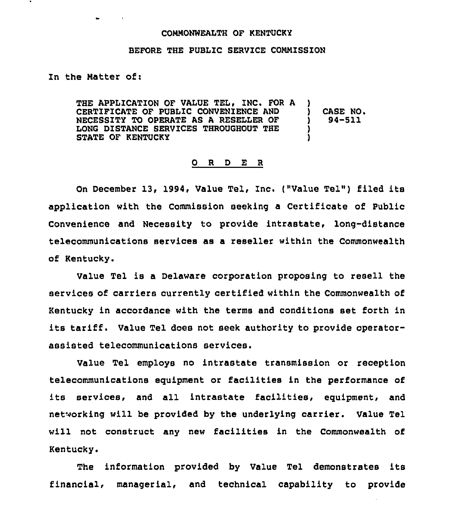## COMMONWEALTH OF KENTUCKY

## BEFORE THE PUBLIC SERVICE COMMISSION

## In the Matter of <sup>i</sup>

THE APPLICATION OF VALUE TEL, INC. FOR A CERTIFICATE OF PUBLIC CONVENIENCE AND NECESSITY TO OPERATE AS A RESELLER OF LONG DISTANCE SERVICES THROUGHOUT THE STATE OF KENTUCKY ) CASE NO. ) 94-911 ) )

## 0 R <sup>D</sup> E <sup>R</sup>

On December 13, 1994, Value Tel, Inc. ("Value Tel") filed its application with the Commission seeking a Certificate of Public Convenience and Necessity to provide intrastate, long-distance telecommunications services as a reseller within the Commonwealth of Kentucky.

Value Tel is a Delaware corporation proposing to resell the services of carriers currently certified within the Commonwealth of Kentucky in accordance with the terms and conditions set forth in its tariff. Value Tel does not seek authority to provide operatorassisted telecommunications services.

Value Tel employs no intrastate transmission or reception telecommunications equipment or facilities in the performance of its services, and all intrastate facilities, equipment, and networking will be provided by the underlying carrier. Value Tel will not construct any new facilities in the Commonwealth of Kentucky.

The information provided by Value Tel demonstrates its financial, managerial, and technical capability to provide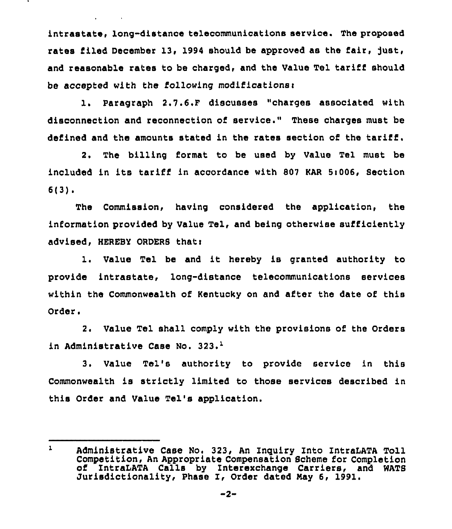intrastate, long-distance telecommunications service. The proposed rates filed December 13, 1994 should be approved as the fair, just, and reasonable rates to be charged, and the Value Tel tariff should be accepted with the following modificationsr

 $\mathbf{v} = \mathbf{v} \times \mathbf{v}$  . We set

l. Paragraph 2.7.6.F discusses "charges associated with disconnection and reconnection of service." These charges must be defined and the amounts stated in the rates section of the tariff.

2, The billing format to be used by Value Tel must be included in its tariff in accordance with 807 KAR 5:006, Section 6(3).

The Commission, having considered the application, the information provided by Value Tel, and being otherwise sufficiently advised, HEREBY ORDERB thati

1. Value Tel be and it hereby is granted authority to provide intrastate, long-distance telecommunications services within the Commonwealth of Kentucky on and after the date of this Order.

2. Value Tel shall comply with the provisions of the Orders in Administrative Case No. 323.<sup>1</sup>

Value Tel's authority to provide service in this Commonwealth is strictly limited to those services described in this Order and Value Tel's application.

 $\mathbf{1}$ Administrative Case No. 323, An Inquiry Into IntraLATA Toll of IntraLATA Calls by Interexchange Carriers, and WATS Jurisdictionality, Phase I, Order dated May 6, 1991.